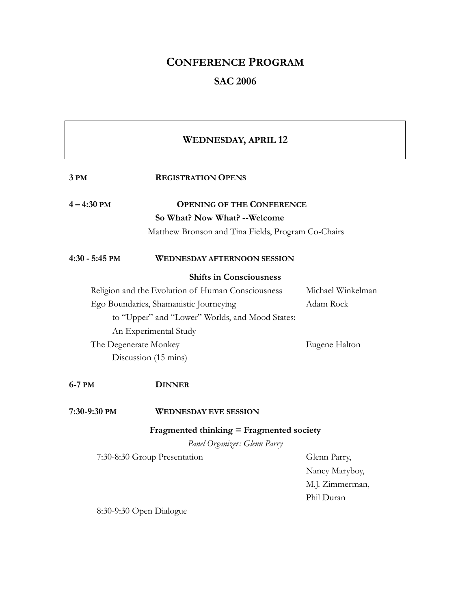# **CONFERENCE PROGRAM**

# **SAC 2006**

## **WEDNESDAY, APRIL 12**

### **3 PM REGISTRATION OPENS**

# **4 – 4:30 PM OPENING OF THE CONFERENCE So What? Now What? --Welcome**

Matthew Bronson and Tina Fields, Program Co-Chairs

### **4:30 - 5:45 PM WEDNESDAY AFTERNOON SESSION**

### **Shifts in Consciousness**

Religion and the Evolution of Human Consciousness Michael Winkelman Ego Boundaries, Shamanistic Journeying Adam Rock to "Upper" and "Lower" Worlds, and Mood States: An Experimental Study The Degenerate Monkey Eugene Halton Discussion (15 mins)

### **6-7 PM DINNER**

#### **7:30-9:30 PM WEDNESDAY EVE SESSION**

**Fragmented thinking = Fragmented society**

*Panel Organizer: Glenn Parry*

7:30-8:30 Group Presentation Glenn Parry,

Nancy Maryboy, M.J. Zimmerman, Phil Duran

8:30-9:30 Open Dialogue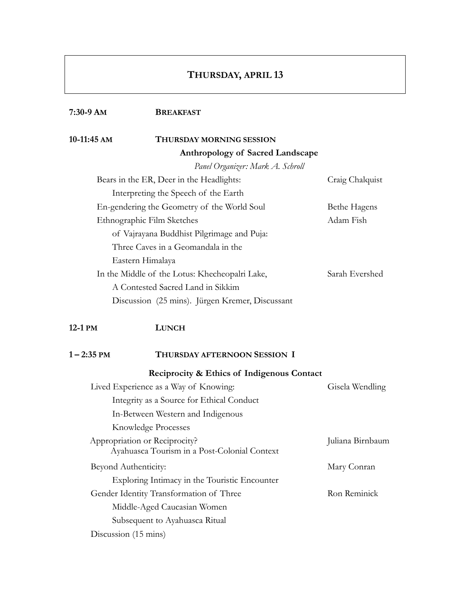# **THURSDAY, APRIL 13**

**7:30-9 AM BREAKFAST**

# **10-11:45 AM THURSDAY MORNING SESSION Anthropology of Sacred Landscape**

*Panel Organizer: Mark A. Schroll*

| Bears in the ER, Deer in the Headlights:        | Craig Chalquist     |
|-------------------------------------------------|---------------------|
| Interpreting the Speech of the Earth            |                     |
| En-gendering the Geometry of the World Soul     | <b>Bethe Hagens</b> |
| Ethnographic Film Sketches                      | Adam Fish           |
| of Vajrayana Buddhist Pilgrimage and Puja:      |                     |
| Three Caves in a Geomandala in the              |                     |
| Eastern Himalaya                                |                     |
| In the Middle of the Lotus: Khecheopalri Lake,  | Sarah Evershed      |
| A Contested Sacred Land in Sikkim               |                     |
| Discussion (25 mins). Jürgen Kremer, Discussant |                     |

# **12-1 PM LUNCH**

### **1 – 2:35 PM THURSDAY AFTERNOON SESSION I**

# **Reciprocity & Ethics of Indigenous Contact**

| Lived Experience as a Way of Knowing:                                         | Gisela Wendling  |
|-------------------------------------------------------------------------------|------------------|
| Integrity as a Source for Ethical Conduct                                     |                  |
| In-Between Western and Indigenous                                             |                  |
| <b>Knowledge Processes</b>                                                    |                  |
| Appropriation or Reciprocity?<br>Ayahuasca Tourism in a Post-Colonial Context | Juliana Birnbaum |
| Beyond Authenticity:                                                          | Mary Conran      |
| Exploring Intimacy in the Touristic Encounter                                 |                  |
| Gender Identity Transformation of Three                                       | Ron Reminick     |
| Middle-Aged Caucasian Women                                                   |                  |
| Subsequent to Ayahuasca Ritual                                                |                  |
| Discussion (15 mins)                                                          |                  |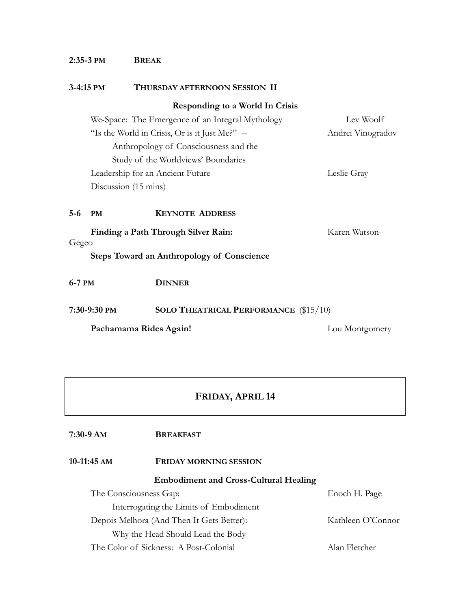### **2:35-3 PM BREAK**

| $3-4:15$ PM                      |                      | THURSDAY AFTERNOON SESSION II                     |                   |
|----------------------------------|----------------------|---------------------------------------------------|-------------------|
|                                  |                      | Responding to a World In Crisis                   |                   |
|                                  |                      | We-Space: The Emergence of an Integral Mythology  | Lev Woolf         |
|                                  |                      | "Is the World in Crisis, Or is it Just Me?" --    | Andrei Vinogradov |
|                                  |                      | Anthropology of Consciousness and the             |                   |
|                                  |                      | Study of the Worldviews' Boundaries               |                   |
| Leadership for an Ancient Future |                      | Leslie Gray                                       |                   |
|                                  | Discussion (15 mins) |                                                   |                   |
| $5-6$                            | <b>PM</b>            | <b>KEYNOTE ADDRESS</b>                            |                   |
| Gegeo                            |                      | Finding a Path Through Silver Rain:               | Karen Watson-     |
|                                  |                      | <b>Steps Toward an Anthropology of Conscience</b> |                   |
| $6-7$ PM                         |                      | <b>DINNER</b>                                     |                   |
|                                  | 7:30-9:30 PM         | <b>SOLO THEATRICAL PERFORMANCE (\$15/10)</b>      |                   |
|                                  |                      | Pachamama Rides Again!                            | Lou Montgomery    |

# **FRIDAY, APRIL 14**

**7:30-9 AM BREAKFAST**

**10-11:45 AM FRIDAY MORNING SESSION** 

# **Embodiment and Cross-Cultural Healing**

| The Consciousness Gap:                    | Enoch H. Page     |
|-------------------------------------------|-------------------|
| Interrogating the Limits of Embodiment    |                   |
| Depois Melhora (And Then It Gets Better): | Kathleen O'Connor |
| Why the Head Should Lead the Body         |                   |
| The Color of Sickness: A Post-Colonial    | Alan Fletcher     |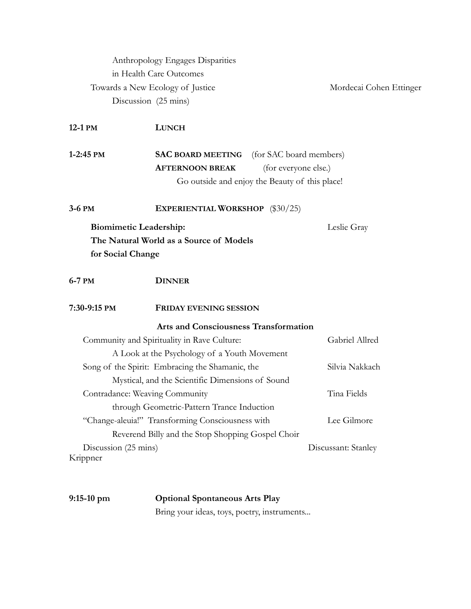Anthropology Engages Disparities in Health Care Outcomes Towards a New Ecology of Justice Mordecai Cohen Ettinger Discussion (25 mins)

| $12-1$ PM                                                                                                    | <b>LUNCH</b>                                                                                                                                         |                     |
|--------------------------------------------------------------------------------------------------------------|------------------------------------------------------------------------------------------------------------------------------------------------------|---------------------|
| $1-2:45$ PM                                                                                                  | <b>SAC BOARD MEETING</b> (for SAC board members)<br><b>AFTERNOON BREAK</b><br>(for everyone else.)<br>Go outside and enjoy the Beauty of this place! |                     |
| 3-6 PM                                                                                                       | <b>EXPERIENTIAL WORKSHOP</b> (\$30/25)                                                                                                               |                     |
| <b>Biomimetic Leadership:</b><br>Leslie Gray<br>The Natural World as a Source of Models<br>for Social Change |                                                                                                                                                      |                     |
| $6-7$ PM                                                                                                     | <b>DINNER</b>                                                                                                                                        |                     |
| 7:30-9:15 PM                                                                                                 | <b>FRIDAY EVENING SESSION</b>                                                                                                                        |                     |
|                                                                                                              | <b>Arts and Consciousness Transformation</b>                                                                                                         |                     |
| Community and Spirituality in Rave Culture:<br>Gabriel Allred                                                |                                                                                                                                                      |                     |
| A Look at the Psychology of a Youth Movement                                                                 |                                                                                                                                                      |                     |
|                                                                                                              | Song of the Spirit: Embracing the Shamanic, the                                                                                                      | Silvia Nakkach      |
| Mystical, and the Scientific Dimensions of Sound                                                             |                                                                                                                                                      |                     |
| Contradance: Weaving Community                                                                               |                                                                                                                                                      | Tina Fields         |
| through Geometric-Pattern Trance Induction                                                                   |                                                                                                                                                      |                     |
|                                                                                                              | "Change-aleuia!" Transforming Consciousness with                                                                                                     | Lee Gilmore         |
|                                                                                                              | Reverend Billy and the Stop Shopping Gospel Choir                                                                                                    |                     |
| Discussion (25 mins)<br>Krippner                                                                             |                                                                                                                                                      | Discussant: Stanley |

**9:15-10 pm Optional Spontaneous Arts Play** Bring your ideas, toys, poetry, instruments...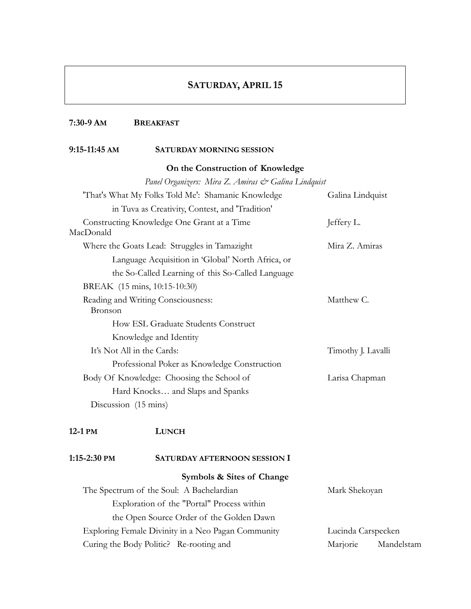# **SATURDAY, APRIL 15**

### **7:30-9 AM BREAKFAST**

# **9:15-11:45 AM SATURDAY MORNING SESSION**

# **On the Construction of Knowledge**

|                                         | Panel Organizers: Mira Z. Amiras & Galina Lindquist |                        |
|-----------------------------------------|-----------------------------------------------------|------------------------|
|                                         | 'That's What My Folks Told Me': Shamanic Knowledge  | Galina Lindquist       |
|                                         | in Tuva as Creativity, Contest, and 'Tradition'     |                        |
| MacDonald                               | Constructing Knowledge One Grant at a Time          | Jeffery L.             |
|                                         | Where the Goats Lead: Struggles in Tamazight        | Mira Z. Amiras         |
|                                         | Language Acquisition in 'Global' North Africa, or   |                        |
|                                         | the So-Called Learning of this So-Called Language   |                        |
|                                         | BREAK (15 mins, 10:15-10:30)                        |                        |
| Bronson                                 | Reading and Writing Consciousness:                  | Matthew C.             |
|                                         | How ESL Graduate Students Construct                 |                        |
|                                         | Knowledge and Identity                              |                        |
|                                         | It's Not All in the Cards:                          | Timothy J. Lavalli     |
|                                         | Professional Poker as Knowledge Construction        |                        |
|                                         | Body Of Knowledge: Choosing the School of           | Larisa Chapman         |
|                                         | Hard Knocks and Slaps and Spanks                    |                        |
| Discussion (15 mins)                    |                                                     |                        |
| 12-1 PM                                 | <b>LUNCH</b>                                        |                        |
| 1:15-2:30 PM                            | SATURDAY AFTERNOON SESSION I                        |                        |
|                                         | Symbols & Sites of Change                           |                        |
|                                         | The Spectrum of the Soul: A Bachelardian            | Mark Shekoyan          |
|                                         | Exploration of the "Portal" Process within          |                        |
|                                         | the Open Source Order of the Golden Dawn            |                        |
|                                         | Exploring Female Divinity in a Neo Pagan Community  | Lucinda Carspecken     |
| Curing the Body Politic? Re-rooting and |                                                     | Marjorie<br>Mandelstam |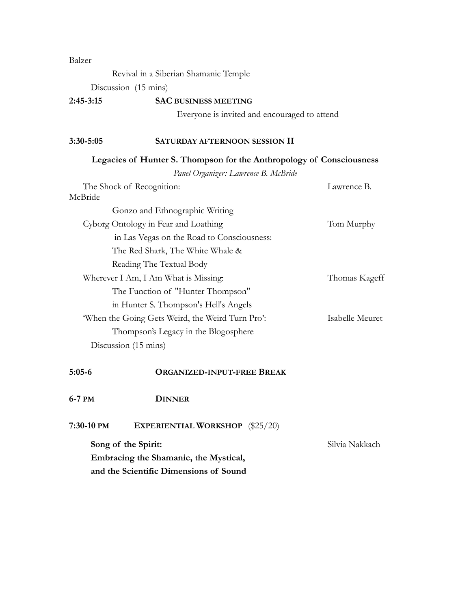Balzer

Revival in a Siberian Shamanic Temple

Discussion (15 mins)

### **2:45-3:15 SAC BUSINESS MEETING**

Everyone is invited and encouraged to attend

### **3:30-5:05 SATURDAY AFTERNOON SESSION II**

#### **Legacies of Hunter S. Thompson for the Anthropology of Consciousness**

*Panel Organizer: Lawrence B. McBride*

| The Shock of Recognition:                        | Lawrence B.     |
|--------------------------------------------------|-----------------|
| McBride                                          |                 |
| Gonzo and Ethnographic Writing                   |                 |
| Cyborg Ontology in Fear and Loathing             | Tom Murphy      |
| in Las Vegas on the Road to Consciousness:       |                 |
| The Red Shark, The White Whale &                 |                 |
| Reading The Textual Body                         |                 |
| Wherever I Am, I Am What is Missing:             | Thomas Kageff   |
| The Function of "Hunter Thompson"                |                 |
| in Hunter S. Thompson's Hell's Angels            |                 |
| 'When the Going Gets Weird, the Weird Turn Pro': | Isabelle Meuret |
| Thompson's Legacy in the Blogosphere             |                 |
| Discussion (15 mins)                             |                 |
|                                                  |                 |

#### **5:05-6 ORGANIZED-INPUT-FREE BREAK**

**6-7 PM DINNER**

**7:30-10 PM EXPERIENTIAL WORKSHOP** (\$25/20)

**Song of the Spirit:** Silvia Nakkach **Embracing the Shamanic, the Mystical, and the Scientific Dimensions of Sound**